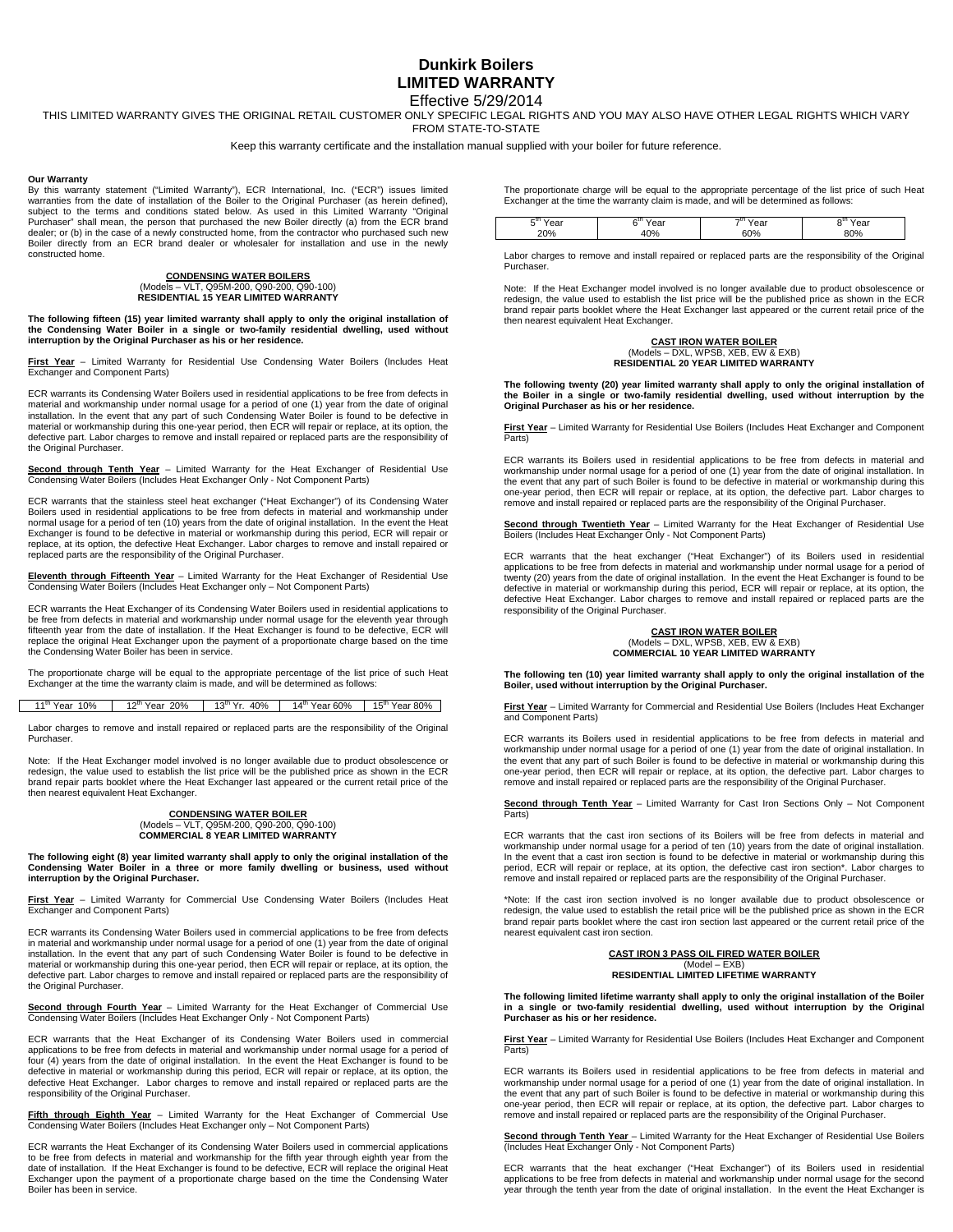## **Dunkirk Boilers LIMITED WARRANTY**  Effective 5/29/2014

THIS LIMITED WARRANTY GIVES THE ORIGINAL RETAIL CUSTOMER ONLY SPECIFIC LEGAL RIGHTS AND YOU MAY ALSO HAVE OTHER LEGAL RIGHTS WHICH VARY FROM STATE-TO-STATE

Keep this warranty certificate and the installation manual supplied with your boiler for future reference.

### **Our Warranty**

By this warranty statement ("Limited Warranty"), ECR International, Inc. ("ECR") issues limited warranties from the date of installation of the Boiler to the Original Purchaser (as herein defined), subject to the terms and conditions stated below. As used in this Limited Warranty "Original Purchaser" shall mean, the person that purchased the new Boiler directly (a) from the ECR brand dealer; or (b) in the case of a newly constructed home, from the contractor who purchased such new Boiler directly from an ECR brand dealer or wholesaler for installation and use in the newly constructed home.

## **CONDENSING WATER BOILERS**  (Models – VLT, Q95M-200, Q90-200, Q90-100) **RESIDENTIAL 15 YEAR LIMITED WARRANTY**

**The following fifteen (15) year limited warranty shall apply to only the original installation of the Condensing Water Boiler in a single or two-family residential dwelling, used without interruption by the Original Purchaser as his or her residence.** 

**First Year** – Limited Warranty for Residential Use Condensing Water Boilers (Includes Heat Exchanger and Component Parts)

ECR warrants its Condensing Water Boilers used in residential applications to be free from defects in material and workmanship under normal usage for a period of one (1) year from the date of original installation. In the event that any part of such Condensing Water Boiler is found to be defective in material or workmanship during this one-year period, then ECR will repair or replace, at its option, the defective part. Labor charges to remove and install repaired or replaced parts are the responsibility of the Original Purchaser.

**Second through Tenth Year** – Limited Warranty for the Heat Exchanger of Residential Use Condensing Water Boilers (Includes Heat Exchanger Only - Not Component Parts)

ECR warrants that the stainless steel heat exchanger ("Heat Exchanger") of its Condensing Water Boilers used in residential applications to be free from defects in material and workmanship under normal usage for a period of ten (10) years from the date of original installation. In the event the Heat Exchanger is found to be defective in material or workmanship during this period, ECR will repair or replace, at its option, the defective Heat Exchanger. Labor charges to remove and install repaired or replaced parts are the responsibility of the Original Purchaser.

**Eleventh through Fifteenth Year** – Limited Warranty for the Heat Exchanger of Residential Use Condensing Water Boilers (Includes Heat Exchanger only – Not Component Parts)

ECR warrants the Heat Exchanger of its Condensing Water Boilers used in residential applications to be free from defects in material and workmanship under normal usage for the eleventh year through fifteenth year from the date of installation. If the Heat Exchanger is found to be defective, ECR will replace the original Heat Exchanger upon the payment of a proportionate charge based on the time the Condensing Water Boiler has been in service.

The proportionate charge will be equal to the appropriate percentage of the list price of such Heat Exchanger at the time the warranty claim is made, and will be determined as follows:

11<sup>th</sup> Year 10% | 12<sup>th</sup> Year 20% | 13<sup>th</sup> Yr. 40% | 14<sup>th</sup> Year 60% | 15<sup>th</sup> Year 80%

Labor charges to remove and install repaired or replaced parts are the responsibility of the Original Purchaser.

Note: If the Heat Exchanger model involved is no longer available due to product obsolescence or redesign, the value used to establish the list price will be the published price as shown in the ECR brand repair parts booklet where the Heat Exchanger last appeared or the current retail price of the then nearest equivalent Heat Exchanger.

### **CONDENSING WATER BOILER**<br>Models - VLT. Q95M-200 O90-200 O9 (Models – VLT, Q95M-200, Q90-200, Q90-100) **COMMERCIAL 8 YEAR LIMITED WARRANTY**

**The following eight (8) year limited warranty shall apply to only the original installation of the Condensing Water Boiler in a three or more family dwelling or business, used without interruption by the Original Purchaser.**

**First Year** – Limited Warranty for Commercial Use Condensing Water Boilers (Includes Heat Exchanger and Component Parts)

ECR warrants its Condensing Water Boilers used in commercial applications to be free from defects in material and workmanship under normal usage for a period of one (1) year from the date of original installation. In the event that any part of such Condensing Water Boiler is found to be defective in material or workmanship during this one-year period, then ECR will repair or replace, at its option, the defective part. Labor charges to remove and install repaired or replaced parts are the responsibility of the Original Purchaser.

**Second through Fourth Year** – Limited Warranty for the Heat Exchanger of Commercial Use Condensing Water Boilers (Includes Heat Exchanger Only - Not Component Parts)

ECR warrants that the Heat Exchanger of its Condensing Water Boilers used in commercial applications to be free from defects in material and workmanship under normal usage for a period of applications to be free from defects in material and workmanship drider normal deage for a period of four (4) years from the date of original installation. In the event the Heat Exchanger is found to be defective in material or workmanship during this period, ECR will repair or replace, at its option, the defective Heat Exchanger. Labor charges to remove and install repaired or replaced parts are the responsibility of the Original Purchaser.

**Fifth through Eighth Year** – Limited Warranty for the Heat Exchanger of Commercial Use Condensing Water Boilers (Includes Heat Exchanger only – Not Component Parts)

ECR warrants the Heat Exchanger of its Condensing Water Boilers used in commercial applications to be free from defects in material and workmanship for the fifth year through eighth year from the date of installation. If the Heat Exchanger is found to be defective, ECR will replace the original Heat Exchanger upon the payment of a proportionate charge based on the time the Condensing Water Boiler has been in service.

The proportionate charge will be equal to the appropriate percentage of the list price of such Heat Exchanger at the time the warranty claim is made, and will be determined as follows:

| -и | ົ<br>. . | ,,, |  |
|----|----------|-----|--|
|    |          |     |  |
|    |          |     |  |

Labor charges to remove and install repaired or replaced parts are the responsibility of the Original Purchaser.

Note: If the Heat Exchanger model involved is no longer available due to product obsolescence or redesign, the value used to establish the list price will be the published price as shown in the ECR brand repair parts booklet where the Heat Exchanger last appeared or the current retail price of the then nearest equivalent Heat Exchanger.

# **CAST IRON WATER BOILER**  (Models – DXL, WPSB, XEB, EW & EXB) **RESIDENTIAL 20 YEAR LIMITED WARRANTY**

**The following twenty (20) year limited warranty shall apply to only the original installation of the Boiler in a single or two-family residential dwelling, used without interruption by the Original Purchaser as his or her residence.** 

**First Year** – Limited Warranty for Residential Use Boilers (Includes Heat Exchanger and Component Parts)

ECR warrants its Boilers used in residential applications to be free from defects in material and workmanship under normal usage for a period of one (1) year from the date of original installation. In the event that any part of such Boiler is found to be defective in material or workmanship during this one-year period, then ECR will repair or replace, at its option, the defective part. Labor charges to remove and install repaired or replaced parts are the responsibility of the Original Purchaser.

**Second through Twentieth Year** – Limited Warranty for the Heat Exchanger of Residential Use Boilers (Includes Heat Exchanger Only - Not Component Parts)

ECR warrants that the heat exchanger ("Heat Exchanger") of its Boilers used in residential applications to be free from defects in material and workmanship under normal usage for a period of twenty (20) years from the date of original installation. In the event the Heat Exchanger is found to be defective in material or workmanship during this period, ECR will repair or replace, at its option, the defective Heat Exchanger. Labor charges to remove and install repaired or replaced parts are the responsibility of the Original Purchaser.

## **CAST IRON WATER BOILER**  (Models – DXL, WPSB, XEB, EW & EXB) **COMMERCIAL 10 YEAR LIMITED WARRANTY**

**The following ten (10) year limited warranty shall apply to only the original installation of the Boiler, used without interruption by the Original Purchaser.** 

**First Year** – Limited Warranty for Commercial and Residential Use Boilers (Includes Heat Exchanger and Component Parts)

ECR warrants its Boilers used in residential applications to be free from defects in material and workmanship under normal usage for a period of one (1) year from the date of original installation. In the event that any part of such Boiler is found to be defective in material or workmanship during this one-year period, then ECR will repair or replace, at its option, the defective part. Labor charges to remove and install repaired or replaced parts are the responsibility of the Original Purchaser.

**Second through Tenth Year** – Limited Warranty for Cast Iron Sections Only – Not Component Parts)

ECR warrants that the cast iron sections of its Boilers will be free from defects in material and workmanship under normal usage for a period of ten (10) years from the date of original installation. In the event that a cast iron section is found to be defective in material or workmanship during this period, ECR will repair or replace, at its option, the defective cast iron section\*. Labor charges to remove and install repaired or replaced parts are the responsibility of the Original Purchaser.

\*Note: If the cast iron section involved is no longer available due to product obsolescence or redesign, the value used to establish the retail price will be the published price as shown in the ECR brand repair parts booklet where the cast iron section last appeared or the current retail price of the nearest equivalent cast iron section.

### **CAST IRON 3 PASS OIL FIRED WATER BOILER**  (Model – EXB)

**RESIDENTIAL LIMITED LIFETIME WARRANTY** 

**The following limited lifetime warranty shall apply to only the original installation of the Boiler in a single or two-family residential dwelling, used without interruption by the Original Purchaser as his or her residence.** 

**First Year** – Limited Warranty for Residential Use Boilers (Includes Heat Exchanger and Component Parts)

ECR warrants its Boilers used in residential applications to be free from defects in material and workmanship under normal usage for a period of one (1) year from the date of original installation. In the event that any part of such Boiler is found to be defective in material or workmanship during this one-year period, then ECR will repair or replace, at its option, the defective part. Labor charges to remove and install repaired or replaced parts are the responsibility of the Original Purchaser.

**Second through Tenth Year** – Limited Warranty for the Heat Exchanger of Residential Use Boilers (Includes Heat Exchanger Only - Not Component Parts)

ECR warrants that the heat exchanger ("Heat Exchanger") of its Boilers used in residential applications to be free from defects in material and workmanship under normal usage for the second year through the tenth year from the date of original installation. In the event the Heat Exchanger is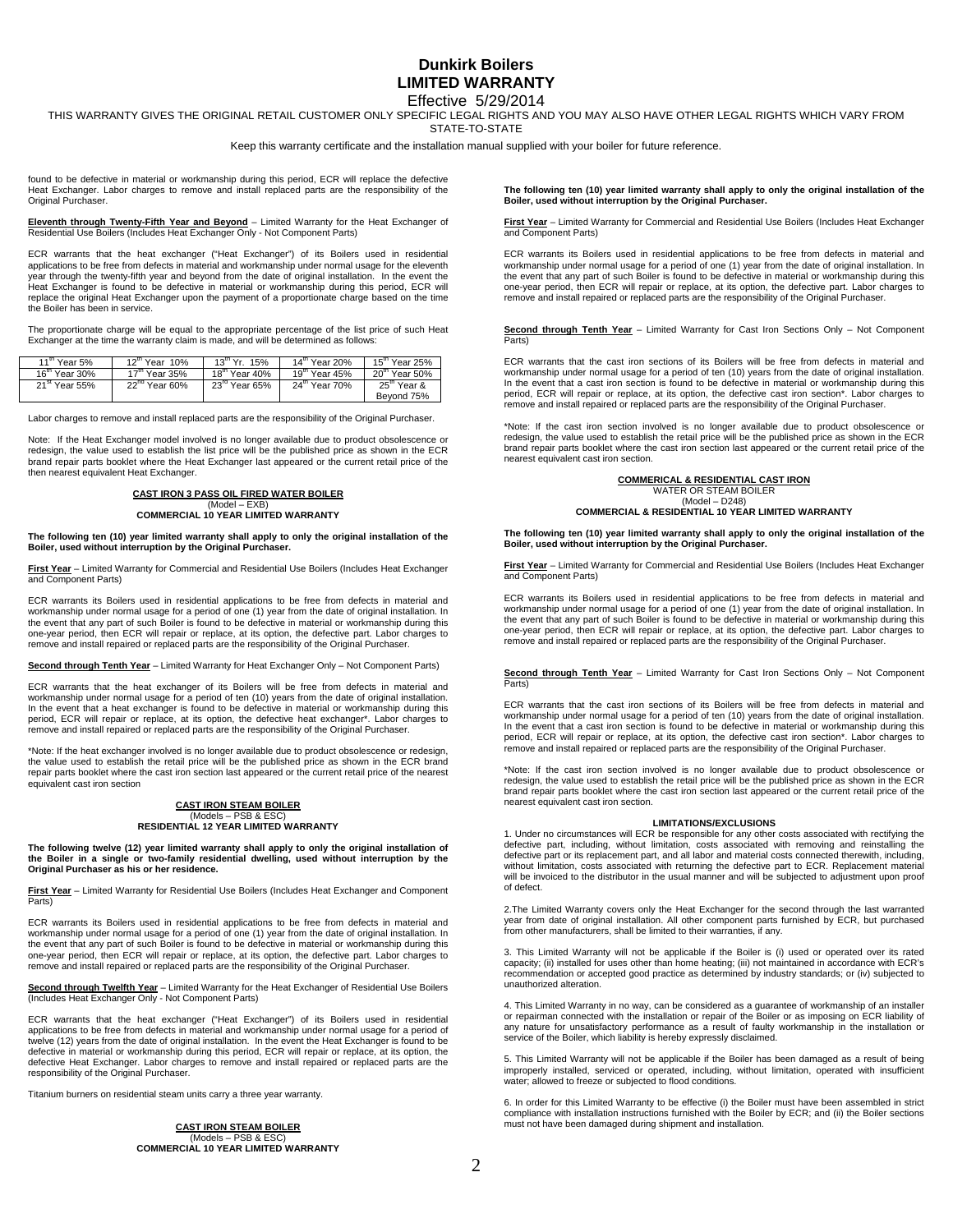## **Dunkirk Boilers LIMITED WARRANTY**  Effective 5/29/2014

THIS WARRANTY GIVES THE ORIGINAL RETAIL CUSTOMER ONLY SPECIFIC LEGAL RIGHTS AND YOU MAY ALSO HAVE OTHER LEGAL RIGHTS WHICH VARY FROM STATE-TO-STATE

Keep this warranty certificate and the installation manual supplied with your boiler for future reference.

found to be defective in material or workmanship during this period, ECR will replace the defective Heat Exchanger. Labor charges to remove and install replaced parts are the responsibility of the Original Purchaser.

**Eleventh through Twenty-Fifth Year and Beyond** – Limited Warranty for the Heat Exchanger of Residential Use Boilers (Includes Heat Exchanger Only - Not Component Parts)

ECR warrants that the heat exchanger ("Heat Exchanger") of its Boilers used in residential applications to be free from defects in material and workmanship under normal usage for the eleventh<br>year through the twenty-fifth year and beyond from the date of original installation. In the event the Heat Exchanger is found to be defective in material or workmanship during this period, ECR will replace the original Heat Exchanger upon the payment of a proportionate charge based on the time the Boiler has been in service.

The proportionate charge will be equal to the appropriate percentage of the list price of such Heat Exchanger at the time the warranty claim is made, and will be determined as follows:

| $11^{\mathrm{m}}$ Year 5% | $12^{\text{m}}$ Year $10\%$ | $13^{th}$ Yr $15\%$       | $14^{\text{m}}$ Year 20%  | $15^{\text{m}}$ Year 25% |
|---------------------------|-----------------------------|---------------------------|---------------------------|--------------------------|
| $16^{\text{m}}$ Year 30%  | $17^{\text{m}}$ Year 35%    | $18^{\text{m}}$ Year 40%  | $19^{\text{m}}$ Year 45%  | $20m$ Year 50%           |
| 21 <sup>st</sup> Year 55% | $22^{nd}$ Year 60%          | $23^{\text{rd}}$ Year 65% | 24 <sup>th</sup> Year 70% | 25 <sup>th</sup> Year &  |
|                           |                             |                           |                           | Beyond 75%               |

Labor charges to remove and install replaced parts are the responsibility of the Original Purchaser.

Note: If the Heat Exchanger model involved is no longer available due to product obsolescence or redesign, the value used to establish the list price will be the published price as shown in the ECR brand repair parts booklet where the Heat Exchanger last appeared or the current retail price of the then nearest equivalent Heat Exchanger.

## **CAST IRON 3 PASS OIL FIRED WATER BOILER**  (Model – EXB) **COMMERCIAL 10 YEAR LIMITED WARRANTY**

## **The following ten (10) year limited warranty shall apply to only the original installation of the Boiler, used without interruption by the Original Purchaser.**

**First Year** – Limited Warranty for Commercial and Residential Use Boilers (Includes Heat Exchanger and Component Parts)

ECR warrants its Boilers used in residential applications to be free from defects in material and workmanship under normal usage for a period of one (1) year from the date of original installation. In the event that any part of such Boiler is found to be defective in material or workmanship during this one-year period, then ECR will repair or replace, at its option, the defective part. Labor charges to remove and install repaired or replaced parts are the responsibility of the Original Purchaser.

**Second through Tenth Year** – Limited Warranty for Heat Exchanger Only – Not Component Parts)

ECR warrants that the heat exchanger of its Boilers will be free from defects in material and workmanship under normal usage for a period of ten (10) years from the date of original installation. In the event that a heat exchanger is found to be defective in material or workmanship during this period, ECR will repair or replace, at its option, the defective heat exchanger\*. Labor charges to remove and install repaired or replaced parts are the responsibility of the Original Purchaser.

\*Note: If the heat exchanger involved is no longer available due to product obsolescence or redesign, the value used to establish the retail price will be the published price as shown in the ECR brand repair parts booklet where the cast iron section last appeared or the current retail price of the nearest equivalent cast iron section

## **CAST IRON STEAM BOILER**  (Models – PSB & ESC) **RESIDENTIAL 12 YEAR LIMITED WARRANTY**

**The following twelve (12) year limited warranty shall apply to only the original installation of the Boiler in a single or two-family residential dwelling, used without interruption by the Original Purchaser as his or her residence.** 

**First Year** – Limited Warranty for Residential Use Boilers (Includes Heat Exchanger and Component Parts)

ECR warrants its Boilers used in residential applications to be free from defects in material and workmanship under normal usage for a period of one (1) year from the date of original installation. In the event that any part of such Boiler is found to be defective in material or workmanship during this one-year period, then ECR will repair or replace, at its option, the defective part. Labor charges to remove and install repaired or replaced parts are the responsibility of the Original Purchaser.

**Second through Twelfth Year** – Limited Warranty for the Heat Exchanger of Residential Use Boilers<br>(Includes Heat Exchanger Only - Not Component Parts)

ECR warrants that the heat exchanger ("Heat Exchanger") of its Boilers used in residential applications to be free from defects in material and workmanship under normal usage for a period of twelve (12) years from the date of original installation. In the event the Heat Exchanger is found to be defective in material or workmanship during this period, ECR will repair or replace, at its option, the defective Heat Exchanger. Labor charges to remove and install repaired or replaced parts are the responsibility of the Original Purchaser.

Titanium burners on residential steam units carry a three year warranty.

**CAST IRON STEAM BOILER**  (Models – PSB & ESC) **COMMERCIAL 10 YEAR LIMITED WARRANTY**  **The following ten (10) year limited warranty shall apply to only the original installation of the Boiler, used without interruption by the Original Purchaser.** 

**First Year** – Limited Warranty for Commercial and Residential Use Boilers (Includes Heat Exchanger and Component Parts)

ECR warrants its Boilers used in residential applications to be free from defects in material and workmanship under normal usage for a period of one (1) year from the date of original installation. In the event that any part of such Boiler is found to be defective in material or workmanship during this one-year period, then ECR will repair or replace, at its option, the defective part. Labor charges to remove and install repaired or replaced parts are the responsibility of the Original Purchaser.

**Second through Tenth Year** – Limited Warranty for Cast Iron Sections Only – Not Component Parts)

ECR warrants that the cast iron sections of its Boilers will be free from defects in material and workmanship under normal usage for a period of ten (10) years from the date of original installation. In the event that a cast iron section is found to be defective in material or workmanship during this period, ECR will repair or replace, at its option, the defective cast iron section\*. Labor charges to remove and install repaired or replaced parts are the responsibility of the Original Purchaser.

\*Note: If the cast iron section involved is no longer available due to product obsolescence or redesign, the value used to establish the retail price will be the published price as shown in the ECR brand repair parts booklet where the cast iron section last appeared or the current retail price of the nearest equivalent cast iron section.

## **COMMERICAL & RESIDENTIAL CAST IRON**  WATER OR STEAM BOILER

(Model – D248) **COMMERCIAL & RESIDENTIAL 10 YEAR LIMITED WARRANTY** 

**The following ten (10) year limited warranty shall apply to only the original installation of the Boiler, used without interruption by the Original Purchaser.** 

**First Year** – Limited Warranty for Commercial and Residential Use Boilers (Includes Heat Exchanger and Component Parts)

ECR warrants its Boilers used in residential applications to be free from defects in material and workmanship under normal usage for a period of one (1) year from the date of original installation. In the event that any part of such Boiler is found to be defective in material or workmanship during this one-year period, then ECR will repair or replace, at its option, the defective part. Labor charges to remove and install repaired or replaced parts are the responsibility of the Original Purchaser.

**Second through Tenth Year** – Limited Warranty for Cast Iron Sections Only – Not Component Parts)

ECR warrants that the cast iron sections of its Boilers will be free from defects in material and workmanship under normal usage for a period of ten (10) years from the date of original installation. In the event that a cast iron section is found to be defective in material or workmanship during this period, ECR will repair or replace, at its option, the defective cast iron section\*. Labor charges to remove and install repaired or replaced parts are the responsibility of the Original Purchaser.

\*Note: If the cast iron section involved is no longer available due to product obsolescence or redesign, the value used to establish the retail price will be the published price as shown in the ECR brand repair parts booklet where the cast iron section last appeared or the current retail price of the nearest equivalent cast iron section.

#### **LIMITATIONS/EXCLUSIONS**

1. Under no circumstances will ECR be responsible for any other costs associated with rectifying the defective part, including, without limitation, costs associated with removing and reinstalling the defective part or its replacement part, and all labor and material costs connected therewith, including, without limitation, costs associated with returning the defective part to ECR. Replacement material will be invoiced to the distributor in the usual manner and will be subjected to adjustment upon proof of defect.

2.The Limited Warranty covers only the Heat Exchanger for the second through the last warranted year from date of original installation. All other component parts furnished by ECR, but purchased from other manufacturers, shall be limited to their warranties, if any.

3. This Limited Warranty will not be applicable if the Boiler is (i) used or operated over its rated capacity; (ii) installed for uses other than home heating; (iii) not maintained in accordance with ECR's recommendation or accepted good practice as determined by industry standards; or (iv) subjected to unauthorized alteration.

4. This Limited Warranty in no way, can be considered as a guarantee of workmanship of an installer<br>or repairman connected with the installation or repair of the Boiler or as imposing on ECR liability of<br>any nature for uns service of the Boiler, which liability is hereby expressly disclaimed.

5. This Limited Warranty will not be applicable if the Boiler has been damaged as a result of being improperly installed, serviced or operated, including, without limitation, operated with insufficient water; allowed to freeze or subjected to flood conditions.

6. In order for this Limited Warranty to be effective (i) the Boiler must have been assembled in strict compliance with installation instructions furnished with the Boiler by ECR; and (ii) the Boiler sections must not have been damaged during shipment and installation.